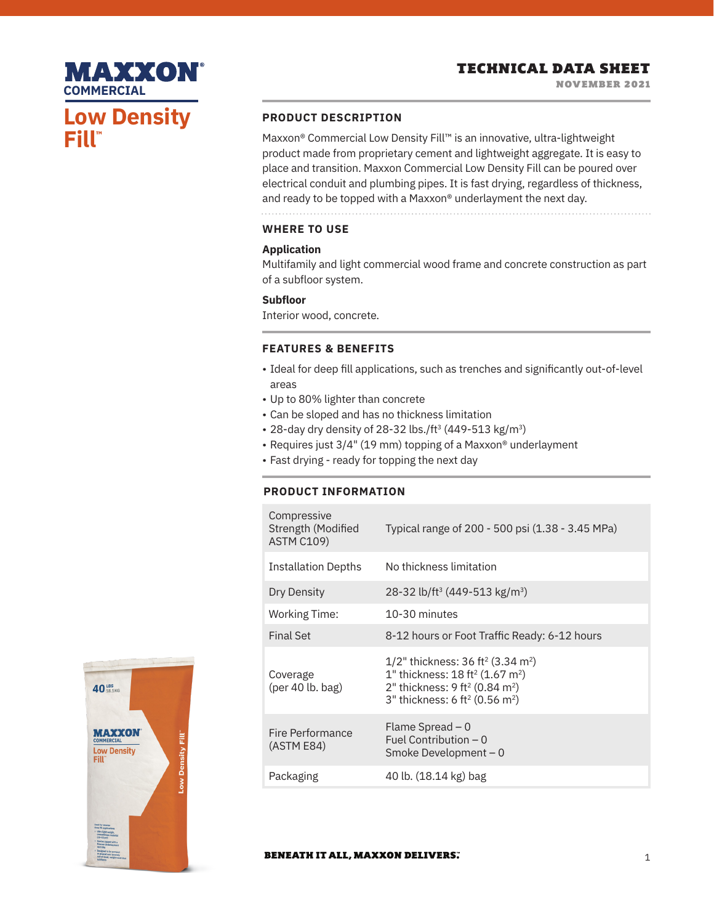# MAXXON **COMMERCIALLow Density Fill™**

### **PRODUCT DESCRIPTION**

Maxxon® Commercial Low Density Fill™ is an innovative, ultra-lightweight product made from proprietary cement and lightweight aggregate. It is easy to place and transition. Maxxon Commercial Low Density Fill can be poured over electrical conduit and plumbing pipes. It is fast drying, regardless of thickness, and ready to be topped with a Maxxon® underlayment the next day.

#### **WHERE TO USE**

#### **Application**

Multifamily and light commercial wood frame and concrete construction as part of a subfloor system.

#### **Subfloor**

Interior wood, concrete.

### **FEATURES & BENEFITS**

- Ideal for deep fill applications, such as trenches and significantly out-of-level areas
- Up to 80% lighter than concrete
- Can be sloped and has no thickness limitation
- 28-day dry density of 28-32 lbs./ft<sup>3</sup> (449-513 kg/m<sup>3</sup>)
- Requires just 3/4" (19 mm) topping of a Maxxon® underlayment
- Fast drying ready for topping the next day

#### **PRODUCT INFORMATION**

| Compressive<br>Strength (Modified<br><b>ASTM C109)</b> | Typical range of 200 - 500 psi (1.38 - 3.45 MPa)                                                                                                                                                                                              |
|--------------------------------------------------------|-----------------------------------------------------------------------------------------------------------------------------------------------------------------------------------------------------------------------------------------------|
| Installation Depths                                    | No thickness limitation                                                                                                                                                                                                                       |
| Dry Density                                            | 28-32 lb/ft <sup>3</sup> (449-513 kg/m <sup>3</sup> )                                                                                                                                                                                         |
| Working Time:                                          | 10-30 minutes                                                                                                                                                                                                                                 |
| <b>Final Set</b>                                       | 8-12 hours or Foot Traffic Ready: 6-12 hours                                                                                                                                                                                                  |
| Coverage<br>(per 40 lb. bag)                           | $1/2$ " thickness: 36 ft <sup>2</sup> (3.34 m <sup>2</sup> )<br>$1"$ thickness: 18 ft <sup>2</sup> (1.67 m <sup>2</sup> )<br>2" thickness: 9 ft <sup>2</sup> (0.84 m <sup>2</sup> )<br>3" thickness: 6 ft <sup>2</sup> (0.56 m <sup>2</sup> ) |
| Fire Performance<br>(ASTM E84)                         | Flame Spread $-0$<br>Fuel Contribution $-0$<br>Smoke Development $-0$                                                                                                                                                                         |
| Packaging                                              | 40 lb. (18.14 kg) bag                                                                                                                                                                                                                         |



#### **BENEATH IT ALL, MAXXON DELIVERS.**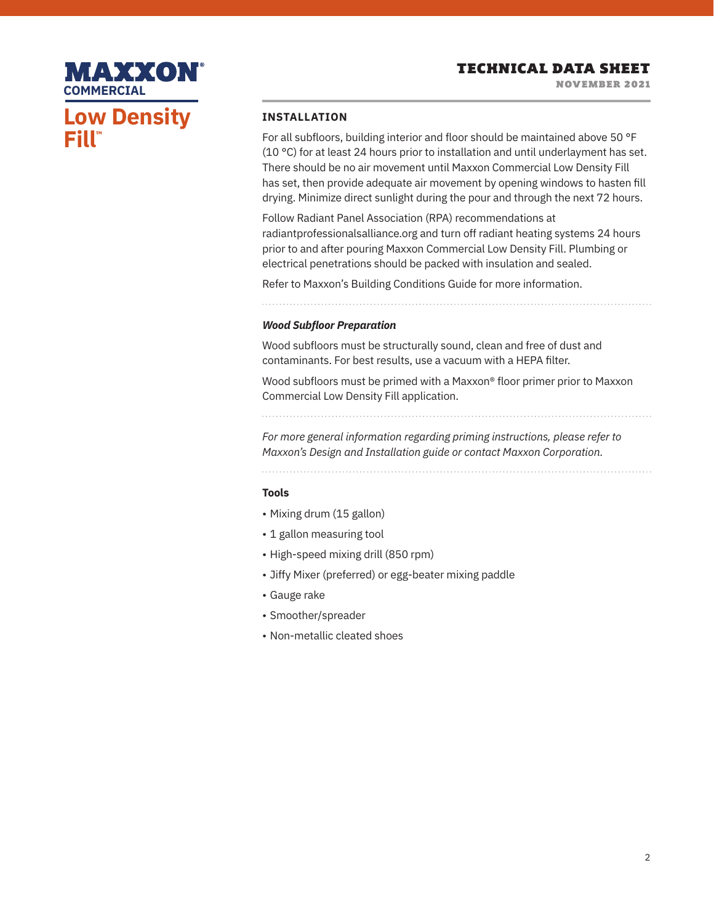# MAXXON **COMMERCIALLow Density Fill™**

### **INSTALLATION**

For all subfloors, building interior and floor should be maintained above 50 °F (10 °C) for at least 24 hours prior to installation and until underlayment has set. There should be no air movement until Maxxon Commercial Low Density Fill has set, then provide adequate air movement by opening windows to hasten fill drying. Minimize direct sunlight during the pour and through the next 72 hours.

Follow Radiant Panel Association (RPA) recommendations at radiantprofessionalsalliance.org and turn off radiant heating systems 24 hours prior to and after pouring Maxxon Commercial Low Density Fill. Plumbing or electrical penetrations should be packed with insulation and sealed.

Refer to Maxxon's Building Conditions Guide for more information.

. . . . . . . . . . . . . . . . . . . .

#### *Wood Subfloor Preparation*

Wood subfloors must be structurally sound, clean and free of dust and contaminants. For best results, use a vacuum with a HEPA filter.

Wood subfloors must be primed with a Maxxon® floor primer prior to Maxxon Commercial Low Density Fill application.

*For more general information regarding priming instructions, please refer to Maxxon's Design and Installation guide or contact Maxxon Corporation.*

# **Tools**

- Mixing drum (15 gallon)
- 1 gallon measuring tool
- High-speed mixing drill (850 rpm)
- Jiffy Mixer (preferred) or egg-beater mixing paddle
- Gauge rake
- Smoother/spreader
- Non-metallic cleated shoes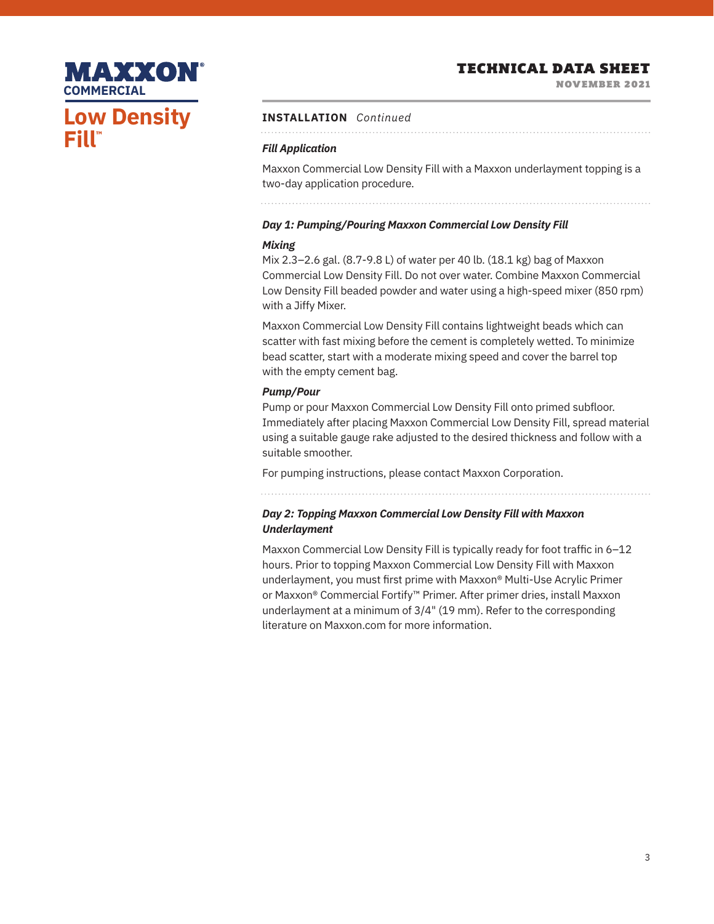NOVEMBER 2021



#### **INSTALLATION** *Continued*

#### *Fill Application*

Maxxon Commercial Low Density Fill with a Maxxon underlayment topping is a two-day application procedure.

### *Day 1: Pumping/Pouring Maxxon Commercial Low Density Fill*

#### *Mixing*

Mix 2.3–2.6 gal. (8.7-9.8 L) of water per 40 lb. (18.1 kg) bag of Maxxon Commercial Low Density Fill. Do not over water. Combine Maxxon Commercial Low Density Fill beaded powder and water using a high-speed mixer (850 rpm) with a Jiffy Mixer.

Maxxon Commercial Low Density Fill contains lightweight beads which can scatter with fast mixing before the cement is completely wetted. To minimize bead scatter, start with a moderate mixing speed and cover the barrel top with the empty cement bag.

#### *Pump/Pour*

Pump or pour Maxxon Commercial Low Density Fill onto primed subfloor. Immediately after placing Maxxon Commercial Low Density Fill, spread material using a suitable gauge rake adjusted to the desired thickness and follow with a suitable smoother.

For pumping instructions, please contact Maxxon Corporation.

### *Day 2: Topping Maxxon Commercial Low Density Fill with Maxxon Underlayment*

Maxxon Commercial Low Density Fill is typically ready for foot traffic in 6–12 hours. Prior to topping Maxxon Commercial Low Density Fill with Maxxon underlayment, you must first prime with Maxxon® Multi-Use Acrylic Primer or Maxxon® Commercial Fortify™ Primer. After primer dries, install Maxxon underlayment at a minimum of 3/4" (19 mm). Refer to the corresponding literature on Maxxon.com for more information.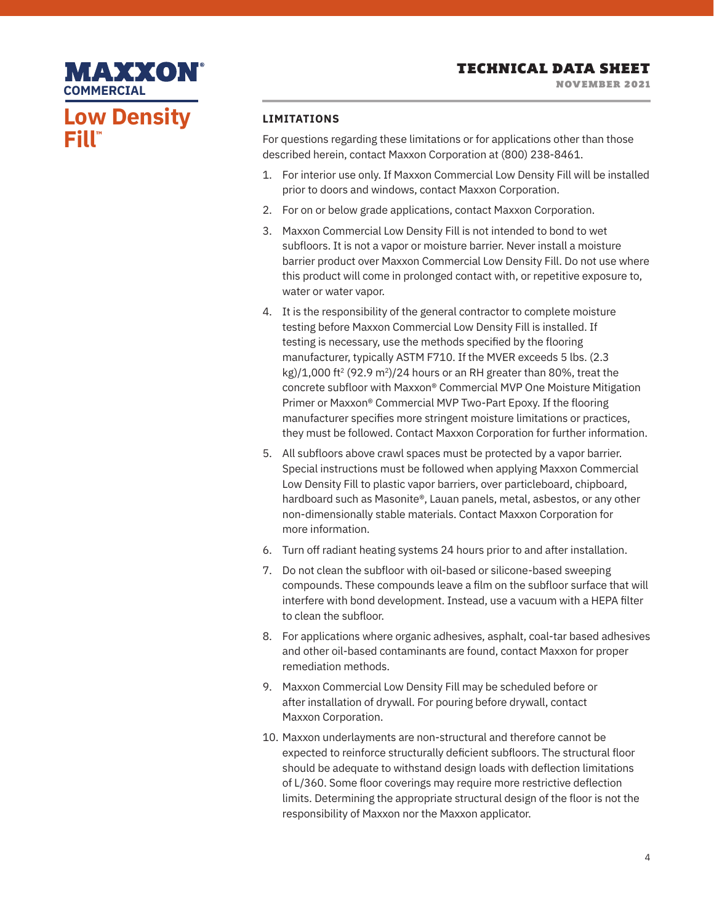NOVEMBER 2021

# **MAXXON® COMMERCIALLow Density Fill™**

### **LIMITATIONS**

For questions regarding these limitations or for applications other than those described herein, contact Maxxon Corporation at (800) 238-8461.

- 1. For interior use only. If Maxxon Commercial Low Density Fill will be installed prior to doors and windows, contact Maxxon Corporation.
- 2. For on or below grade applications, contact Maxxon Corporation.
- 3. Maxxon Commercial Low Density Fill is not intended to bond to wet subfloors. It is not a vapor or moisture barrier. Never install a moisture barrier product over Maxxon Commercial Low Density Fill. Do not use where this product will come in prolonged contact with, or repetitive exposure to, water or water vapor.
- 4. It is the responsibility of the general contractor to complete moisture testing before Maxxon Commercial Low Density Fill is installed. If testing is necessary, use the methods specified by the flooring manufacturer, typically ASTM F710. If the MVER exceeds 5 lbs. (2.3 kg $/1,000$  ft<sup>2</sup> (92.9 m<sup>2</sup>)/24 hours or an RH greater than 80%, treat the concrete subfloor with Maxxon® Commercial MVP One Moisture Mitigation Primer or Maxxon® Commercial MVP Two-Part Epoxy. If the flooring manufacturer specifies more stringent moisture limitations or practices, they must be followed. Contact Maxxon Corporation for further information.
- 5. All subfloors above crawl spaces must be protected by a vapor barrier. Special instructions must be followed when applying Maxxon Commercial Low Density Fill to plastic vapor barriers, over particleboard, chipboard, hardboard such as Masonite®, Lauan panels, metal, asbestos, or any other non-dimensionally stable materials. Contact Maxxon Corporation for more information.
- 6. Turn off radiant heating systems 24 hours prior to and after installation.
- 7. Do not clean the subfloor with oil-based or silicone-based sweeping compounds. These compounds leave a film on the subfloor surface that will interfere with bond development. Instead, use a vacuum with a HEPA filter to clean the subfloor.
- 8. For applications where organic adhesives, asphalt, coal-tar based adhesives and other oil-based contaminants are found, contact Maxxon for proper remediation methods.
- 9. Maxxon Commercial Low Density Fill may be scheduled before or after installation of drywall. For pouring before drywall, contact Maxxon Corporation.
- 10. Maxxon underlayments are non-structural and therefore cannot be expected to reinforce structurally deficient subfloors. The structural floor should be adequate to withstand design loads with deflection limitations of L/360. Some floor coverings may require more restrictive deflection limits. Determining the appropriate structural design of the floor is not the responsibility of Maxxon nor the Maxxon applicator.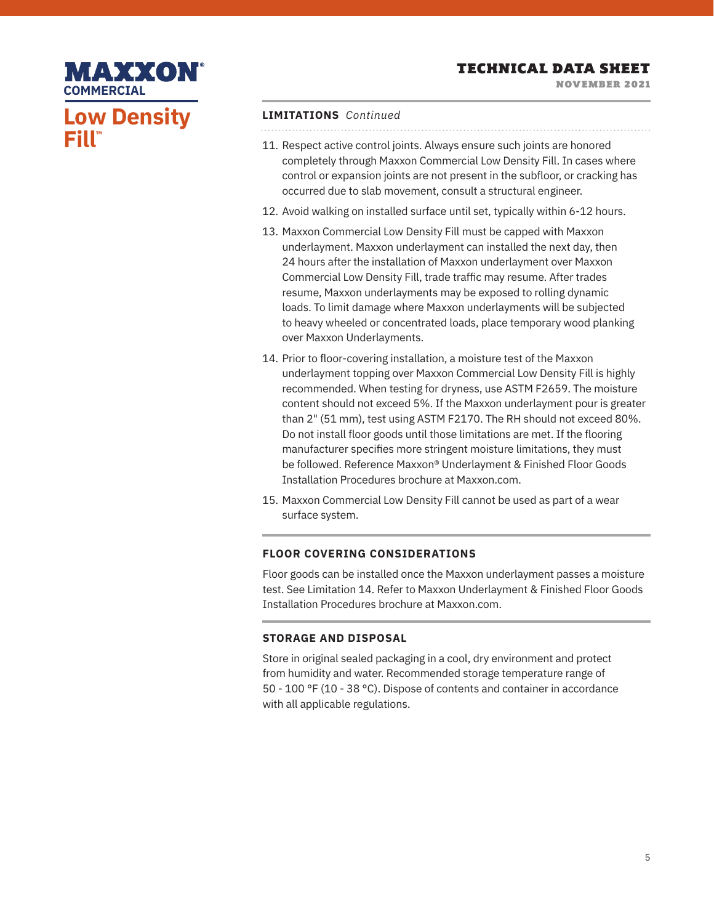NOVEMBER 2021

# **MAXXON® COMMERCIALLow Density Fill™**

### **LIMITATIONS** *Continued*

- 11. Respect active control joints. Always ensure such joints are honored completely through Maxxon Commercial Low Density Fill. In cases where control or expansion joints are not present in the subfloor, or cracking has occurred due to slab movement, consult a structural engineer.
- 12. Avoid walking on installed surface until set, typically within 6-12 hours.
- 13. Maxxon Commercial Low Density Fill must be capped with Maxxon underlayment. Maxxon underlayment can installed the next day, then 24 hours after the installation of Maxxon underlayment over Maxxon Commercial Low Density Fill, trade traffic may resume. After trades resume, Maxxon underlayments may be exposed to rolling dynamic loads. To limit damage where Maxxon underlayments will be subjected to heavy wheeled or concentrated loads, place temporary wood planking over Maxxon Underlayments.
- 14. Prior to floor-covering installation, a moisture test of the Maxxon underlayment topping over Maxxon Commercial Low Density Fill is highly recommended. When testing for dryness, use ASTM F2659. The moisture content should not exceed 5%. If the Maxxon underlayment pour is greater than 2" (51 mm), test using ASTM F2170. The RH should not exceed 80%. Do not install floor goods until those limitations are met. If the flooring manufacturer specifies more stringent moisture limitations, they must be followed. Reference Maxxon® Underlayment & Finished Floor Goods Installation Procedures brochure at Maxxon.com.
- 15. Maxxon Commercial Low Density Fill cannot be used as part of a wear surface system.

# **FLOOR COVERING CONSIDERATIONS**

Floor goods can be installed once the Maxxon underlayment passes a moisture test. See Limitation 14. Refer to Maxxon Underlayment & Finished Floor Goods Installation Procedures brochure at Maxxon.com.

# **STORAGE AND DISPOSAL**

Store in original sealed packaging in a cool, dry environment and protect from humidity and water. Recommended storage temperature range of 50 - 100 °F (10 - 38 °C). Dispose of contents and container in accordance with all applicable regulations.